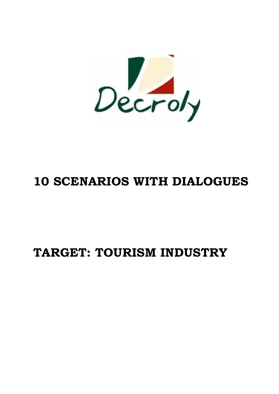

# **10 SCENARIOS WITH DIALOGUES**

# **TARGET: TOURISM INDUSTRY**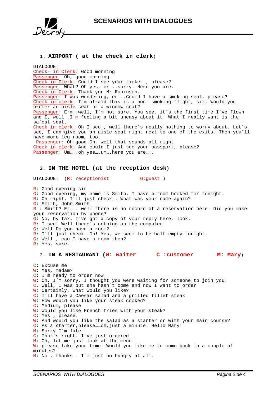

# 1. **AIRPORT ( at the check in clerk**)

DIALOGUE: Check- in Clerk: Good morning Passenger: Oh, good morning Check in Clerk: Could I see your ticket , please? Passenger: What? Oh yes, er....sorry. Here you are. Check-in Clerk: Thank you Mr Robinson. Passenger: I was wondering, er…..Could I have a smoking seat, please? Check in clerk: I´m afraid this is a non- smoking flight, sir. Would you prefer an aisle seat or a window seat? Passenger: Erm….well, I´m not sure. You see, it´s the first time I´ve flown and  $I$ , well ,  $I$   $\hat{I}$  feeling a bit uneasy about it. What I really want is the safest seat. Check in clerk: Oh I see , well there´s really nothing to worry about. Let´s see, I can give you an aisle seat right next to one of the exits. Then you´ll have more leg room, too. Passenger: Oh good.Oh, well that sounds all right

Check in clerk: And could I just see your passport, please? Passenger: Um....oh yes....um....here you are.......

# 2. **IN THE HOTEL (at the reception desk**)

DIALOGUE: (R: receptionist G: guest) R: Good evening sir G: Good evening, my name is Smith. I have a room booked for tonight. R: Oh right, I'll just check.... What was your name again?

G: Smith, John Smith R : Smith? Er….. well there is no record of a reservation here. Did you make your reservation by phone? G: No, by fax. I´ve got a copy of your reply here, look. R: I see. Well there´s nothing on the computer. G: Well Do you have a room? R: I´ll just check……Oh! Yes, we seem to be half-empty tonight. G: Well , can I have a room then? R: Yes, sure.

## 3. **IN A RESTAURANT (W: waiter C :customer M: Mary**)

C: Excuse me W: Yes, madam? C: I´m ready to order now. W: Oh, I'm sorry, I thought you were waiting for someone to join you. C. well, I was but she hasn´t come and now I want to order W: Certainly, what would you like? C: I´ll have a Caesar salad and a grilled fillet steak W: How would you like your steak cooked? C: Medium, please W: Would you like French fries with your steak? C: Yes , please. W: And would you like the salad as a starter or with your main course? C: As a starter,please……oh,just a minute. Hello Mary! M: Sorry I´m late C: That´s right. I´ve just ordered M: Oh, let me just look at the menu W: please take your time. Would you like me to come back in a couple of minutes? M: No , thanks . I´m just no hungry at all.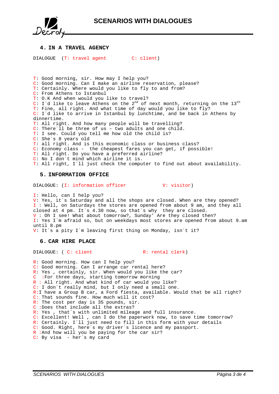

## **4. IN A TRAVEL AGENCY**

DIALOGUE (T: travel agent C: client)

T: Good morning, sir. How may I help you? C: Good morning. Can I make an airline reservation, please? T: Certainly. Where would you like to fly to and from? C: From Athens to Istanbul T: O.K And when would you like to travel? C: I'd like to leave Athens on the  $2<sup>nd</sup>$  of next month, returning on the  $13<sup>th</sup>$ T: Fine, all right. And what time of day would you like to fly? C: I´d like to arrive in Istanbul by lunchtime, and be back in Athens by dinnertime. T: All right. And how many people will be travelling? C: There´ll be three of us – two adults and one child. T: I see. Could you tell me how old the child is? C: She´s 8 years old T: all right. And is this economic class or business class? C: Economy class - the cheapest fares you can get, if possible! T: All right. Do you have a preferred airline? C: No I don´t mind which airline it is.

T: All right, I´ll just check the computer to find out about availability.

### **5. INFORMATION OFFICE**

DIALOGUE: (I: information officer V: visitor)

I: Hello, can I help you? V: Yes, it´s Saturday and all the shops are closed. When are they opened? I : Well, on Saturdays the stores are opened from about 9 am, and they all closed at 4 pm. It´s 4.30 now, so that´s why they are closed. V : Oh I see! What about tomorrow?, Sunday' Are they closed then?

I: Yes I´m afraid so, but on weekdays most stores are opened from about 9.am until 8.pm

V: It´s a pity I´m leaving first thing on Monday, isn´t it?

## **6. CAR HIRE PLACE**

DIALOGUE: ( C: client R: rental clerk)

R: Good morning. How can I help you? C: Good morning. Can I arrange car rental here? R: Yes , certainly, sir. When would you like the car? C :For three days, starting tomorrow morning R : All right. And what kind of car would you like? C: I don´t really mind, but I only need a small one. R:I have a Group B car, a Ford fiesta, available. Would that be all right? C: That sounds fine. How much will it cost? R: The cost per day is 35 pounds, sir. C :Does that include all the extras? R: Yes , that´s with unlimited mileage and full insurance. C: Excellent! Well , can I do the paperwork now, to save time tomorrow? R: Certainly. I´ll just need to fill in this form with your details C: Good. Right, here´s my driver´s licence and my passport. R : And how will you be paying for the car sir? C: By visa - her's my card